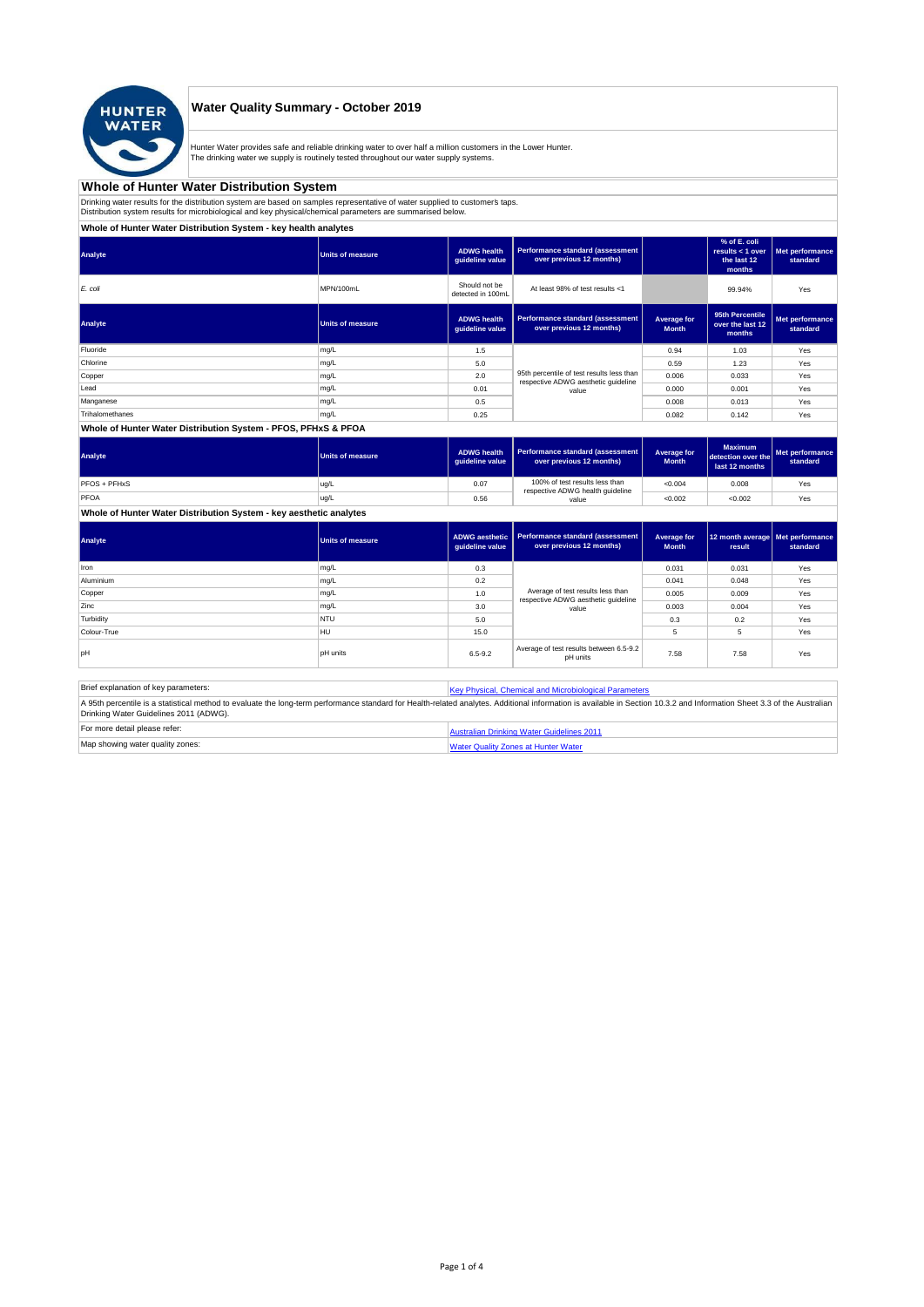

## **Water Quality Summary - October 2019**

Hunter Water provides safe and reliable drinking water to over half a million customers in the Lower Hunter.<br>The drinking water we supply is routinely tested throughout our water supply systems.

### **Whole of Hunter Water Distribution System**

Drinking water results for the distribution system are based on samples representative of water supplied to customer's taps.<br>Distribution system results for microbiological and key physical/chemical parameters are summaris

## **Whole of Hunter Water Distribution System - key health analytes**

| Analyte         | <b>Units of measure</b> | <b>ADWG</b> health<br>quideline value | Performance standard (assessment<br>over previous 12 months)                     |                             | % of E. coli<br>results $<$ 1 over<br>the last 12<br>months | Met performance<br>standard |
|-----------------|-------------------------|---------------------------------------|----------------------------------------------------------------------------------|-----------------------------|-------------------------------------------------------------|-----------------------------|
| E. coli         | MPN/100mL               | Should not be<br>detected in 100mL    | At least 98% of test results <1                                                  |                             | 99.94%                                                      | Yes                         |
| Analyte         | <b>Units of measure</b> | <b>ADWG</b> health<br>guideline value | Performance standard (assessment<br>over previous 12 months)                     | Average for<br><b>Month</b> | 95th Percentile<br>over the last 12<br>months               | Met performance<br>standard |
| Fluoride        | mg/L                    | 1.5                                   |                                                                                  | 0.94                        | 1.03                                                        | Yes                         |
| Chlorine        | mg/L                    | 5.0                                   |                                                                                  | 0.59                        | 1.23                                                        | Yes                         |
| Copper          | mg/L                    | 2.0                                   | 95th percentile of test results less than<br>respective ADWG aesthetic quideline | 0.006                       | 0.033                                                       | Yes                         |
| Lead            | mg/L                    | 0.01                                  | value                                                                            | 0.000                       | 0.001                                                       | Yes                         |
| Manganese       | mg/L                    | 0.5                                   |                                                                                  | 0.008                       | 0.013                                                       | Yes                         |
| Trihalomethanes | mg/L                    | 0.25                                  |                                                                                  | 0.082                       | 0.142                                                       | Yes                         |
|                 |                         |                                       |                                                                                  |                             |                                                             |                             |

### **Whole of Hunter Water Distribution System - PFOS, PFHxS & PFOA**

| Analyte      | Units of measure | <b>ADWG health</b><br>quideline value | Performance standard (assessment<br>over previous 12 months)                | Average for<br><b>Month</b> | <b>Maximum</b><br>detection over the<br>last 12 months | Met performance<br>standard |
|--------------|------------------|---------------------------------------|-----------------------------------------------------------------------------|-----------------------------|--------------------------------------------------------|-----------------------------|
| PFOS + PFHxS | ug/L             | 0.07                                  | 100% of test results less than<br>respective ADWG health guideline<br>value | < 0.004                     | 0.008                                                  | Yes                         |
| PFOA         | ug/L             | 0.56                                  |                                                                             | < 0.002                     | < 0.002                                                | Yes                         |

**Whole of Hunter Water Distribution System - key aesthetic analytes**

| Analyte     | <b>Units of measure</b> | guideline value | ADWG aesthetic   Performance standard (assessment<br>over previous 12 months) | Average for<br><b>Month</b> | 12 month average   Met performance<br>result | standard |
|-------------|-------------------------|-----------------|-------------------------------------------------------------------------------|-----------------------------|----------------------------------------------|----------|
| Iron        | mg/L                    | 0.3             |                                                                               | 0.031                       | 0.031                                        | Yes      |
| Aluminium   | mg/L                    | 0.2             |                                                                               | 0.041                       | 0.048                                        | Yes      |
| Copper      | mg/L                    | 1.0             | Average of test results less than<br>respective ADWG aesthetic quideline      | 0.005                       | 0.009                                        | Yes      |
| Zinc        | mg/L                    | 3.0             | value                                                                         | 0.003                       | 0.004                                        | Yes      |
| Turbidity   | <b>NTU</b>              | 5.0             |                                                                               | 0.3                         | 0.2                                          | Yes      |
| Colour-True | HU                      | 15.0            |                                                                               | 5                           |                                              | Yes      |
| loH         | <b>pH</b> units         | $6.5 - 9.2$     | Average of test results between 6.5-9.2<br>pH units                           | 7.58                        | 7.58                                         | Yes      |

| Brief explanation of key parameters:   | Key Physical, Chemical and Microbiological Parameters                                                                                                                                                                   |
|----------------------------------------|-------------------------------------------------------------------------------------------------------------------------------------------------------------------------------------------------------------------------|
| Drinking Water Guidelines 2011 (ADWG). | A 95th percentile is a statistical method to evaluate the long-term performance standard for Health-related analytes. Additional information is available in Section 10.3.2 and Information Sheet 3.3 of the Australian |
| For more detail please refer:          | Australian Drinking Water Guidelines 2011                                                                                                                                                                               |
| Map showing water quality zones:       | <b>Water Quality Zones at Hunter Water</b>                                                                                                                                                                              |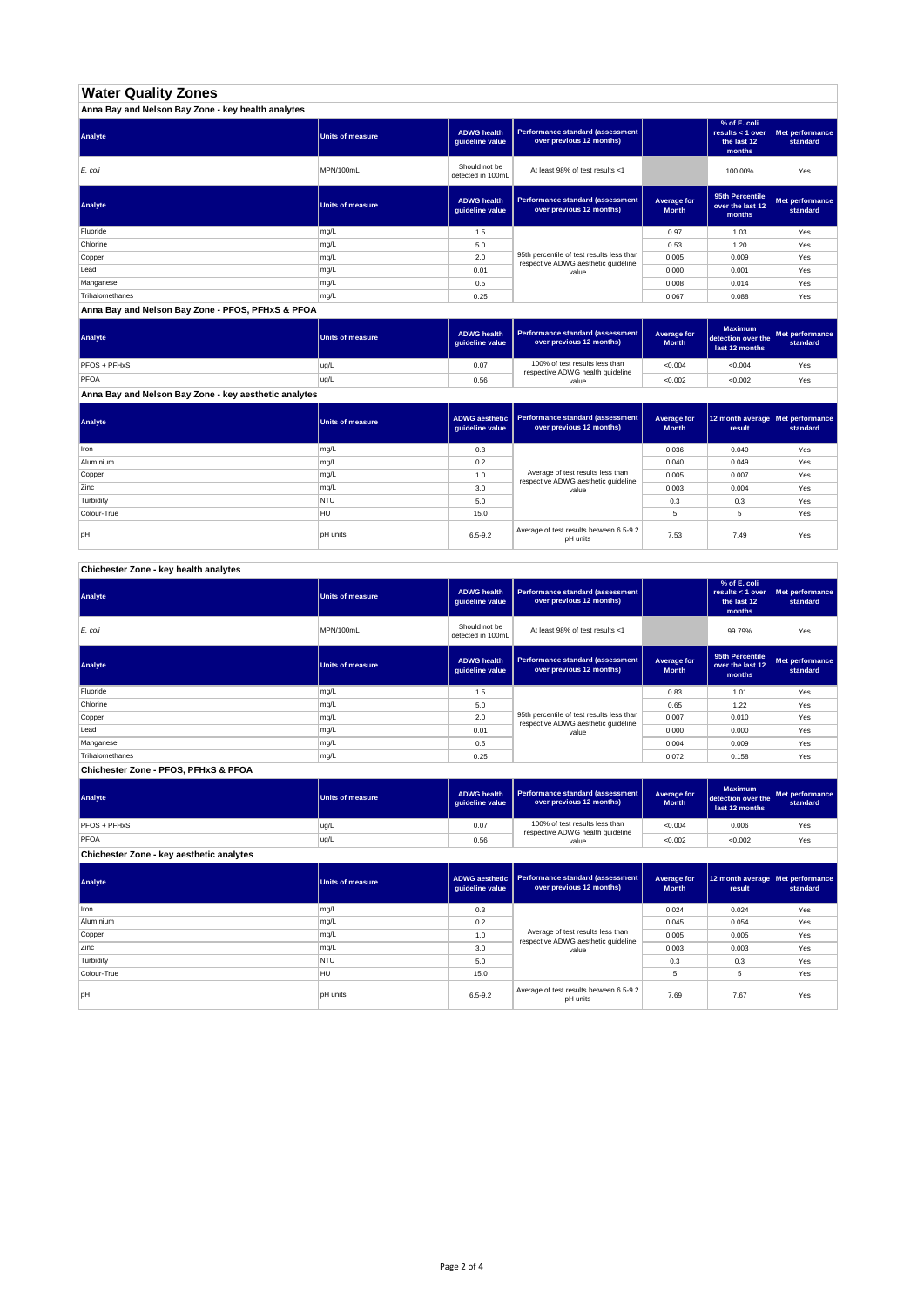# **Water Quality Zones**

| Anna Bay and Nelson Bay Zone - key health analytes |                         |                                       |                                                                                  |                             |                                                           |                             |  |  |  |
|----------------------------------------------------|-------------------------|---------------------------------------|----------------------------------------------------------------------------------|-----------------------------|-----------------------------------------------------------|-----------------------------|--|--|--|
| Analyte                                            | <b>Units of measure</b> | <b>ADWG health</b><br>quideline value | Performance standard (assessment<br>over previous 12 months)                     |                             | % of E. coli<br>results < 1 over<br>the last 12<br>months | Met performance<br>standard |  |  |  |
| E. coli                                            | MPN/100mL               | Should not be<br>detected in 100mL    | At least 98% of test results <1                                                  |                             | 100.00%                                                   | Yes                         |  |  |  |
| Analyte                                            | Units of measure        | <b>ADWG health</b><br>guideline value | Performance standard (assessment<br>over previous 12 months)                     | Average for<br><b>Month</b> | 95th Percentile<br>over the last 12<br>months             | Met performance<br>standard |  |  |  |
| Fluoride                                           | mg/L                    | 1.5                                   |                                                                                  | 0.97                        | 1.03                                                      | Yes                         |  |  |  |
| Chlorine                                           | mg/L                    | 5.0                                   |                                                                                  | 0.53                        | 1.20                                                      | Yes                         |  |  |  |
| Copper                                             | mg/L                    | 2.0                                   | 95th percentile of test results less than<br>respective ADWG aesthetic quideline | 0.005                       | 0.009                                                     | Yes                         |  |  |  |
| Lead                                               | mg/L                    | 0.01                                  | value                                                                            | 0.000                       | 0.001                                                     | Yes                         |  |  |  |
| Manganese                                          | mg/L                    | 0.5                                   |                                                                                  | 0.008                       | 0.014                                                     | Yes                         |  |  |  |
| Trihalomethanes                                    | mg/L                    | 0.25                                  |                                                                                  | 0.067                       | 0.088                                                     | Yes                         |  |  |  |

#### **Anna Bay and Nelson Bay Zone - PFOS, PFHxS & PFOA**

| Analyte      | Units of measure | <b>ADWG health</b><br>quideline value | Performance standard (assessment<br>over previous 12 months) | Average for<br><b>Month</b> | <b>Maximum</b><br>detection over the<br>last 12 months | Met performance<br>standard |
|--------------|------------------|---------------------------------------|--------------------------------------------------------------|-----------------------------|--------------------------------------------------------|-----------------------------|
| PFOS + PFHxS | ug/L             | 0.07                                  | 100% of test results less than                               | < 0.004                     | < 0.004                                                | Yes                         |
| PFOA         | ug/L             | 0.56                                  | respective ADWG health guideline<br>value                    | < 0.002                     | < 0.002                                                | Yes                         |

**Anna Bay and Nelson Bay Zone - key aesthetic analytes**

| Analyte     | Units of measure | quideline value | ADWG aesthetic   Performance standard (assessment<br>over previous 12 months) | Average for<br><b>Month</b> | 12 month average Met performance<br>result | standard |
|-------------|------------------|-----------------|-------------------------------------------------------------------------------|-----------------------------|--------------------------------------------|----------|
| Iron        | mg/L             | 0.3             |                                                                               | 0.036                       | 0.040                                      | Yes      |
| Aluminium   | mg/L             | 0.2             |                                                                               | 0.040                       | 0.049                                      | Yes      |
| Copper      | mg/L             | 1.0             | Average of test results less than<br>respective ADWG aesthetic guideline      | 0.005                       | 0.007                                      | Yes      |
| Zinc        | mg/L             | 3.0             | value                                                                         | 0.003                       | 0.004                                      | Yes      |
| Turbidity   | <b>NTU</b>       | 5.0             |                                                                               | 0.3                         | 0.3                                        | Yes      |
| Colour-True | HU               | 15.0            |                                                                               | 5                           | 5                                          | Yes      |
| lpH         | <b>pH</b> units  | $6.5 - 9.2$     | Average of test results between 6.5-9.2<br>pH units                           | 7.53                        | 7.49                                       | Yes      |

## **Chichester Zone - key health analytes**

| Analyte                              | <b>Units of measure</b> | <b>ADWG health</b><br>guideline value | Performance standard (assessment<br>over previous 12 months)                     |                             | % of E. coli<br>results < 1 over<br>the last 12<br>months | Met performance<br>standard |
|--------------------------------------|-------------------------|---------------------------------------|----------------------------------------------------------------------------------|-----------------------------|-----------------------------------------------------------|-----------------------------|
| E. coli                              | MPN/100mL               | Should not be<br>detected in 100mL    | At least 98% of test results <1                                                  |                             | 99.79%                                                    | Yes                         |
| Analyte                              | <b>Units of measure</b> | <b>ADWG health</b><br>guideline value | Performance standard (assessment<br>over previous 12 months)                     | Average for<br><b>Month</b> | 95th Percentile<br>over the last 12<br>months             | Met performance<br>standard |
| Fluoride                             | mg/L                    | 1.5                                   |                                                                                  | 0.83                        | 1.01                                                      | Yes                         |
| Chlorine                             | mg/L                    | 5.0                                   |                                                                                  | 0.65                        | 1.22                                                      | Yes                         |
| Copper                               | mg/L                    | 2.0                                   | 95th percentile of test results less than<br>respective ADWG aesthetic quideline | 0.007                       | 0.010                                                     | Yes                         |
| Lead                                 | mg/L                    | 0.01                                  | value                                                                            | 0.000                       | 0.000                                                     | Yes                         |
| Manganese                            | mg/L                    | 0.5                                   |                                                                                  | 0.004                       | 0.009                                                     | Yes                         |
| Trihalomethanes                      | mg/L                    | 0.25                                  |                                                                                  | 0.072                       | 0.158                                                     | Yes                         |
| Chichester Zone - PFOS, PFHxS & PFOA |                         |                                       |                                                                                  |                             |                                                           |                             |

#### **ADWG health guideline value Average for Month Maxim detection over the last 12 months Met performance standard** 0.07 100% of test results less than  $\begin{array}{|c|c|c|c|c|c|c|c|c|c|c|c|}\n\hline\n0.006 & \text{respective ADWG health guideline} \\
\hline\n\end{array}$ 0.56 | value | <0.002 | <0.002 | Yes **Analyte Performance standard (assessment <b>Performance standard (assessment Performance standard (assessment Performance standard (assessment Performance standard (assessment Chichester Zone - key aesthetic analytes** PFOS + PFHxS ug/L PFOA ug/L value

**ADWG aesthetic guideline value Average for Month 12 month average result Met performance standard** 0.3 0.024 0.024 Yes 0.2 0.045 0.054 Yes 1.0 Netrage of test results less trial 1.0 0.005 0.005 Pes 3.0 | value | 0.003 | 0.003 Yes 5.0 0.3 0.3 Yes 15.0 | 30 | 5 | 5 | Yes pH units the state of the second of the second of test results between 6.5-9.2 the second of the second of test results between 5.5-9.2 the second of the second of test results between 5.5-9.2 the second of the second of t **Analyte Performance standard (assessment <b>Performance standard (assessment Performance standard (assessment <b>Performance standard (assessment Performance standard (assessment** Iron mg/L **Turbidity** NTU Colour-True HU Average of test results less than respective ADWG aesthetic guideline value Aluminium mg/L Copper mg/L Zinc mg/L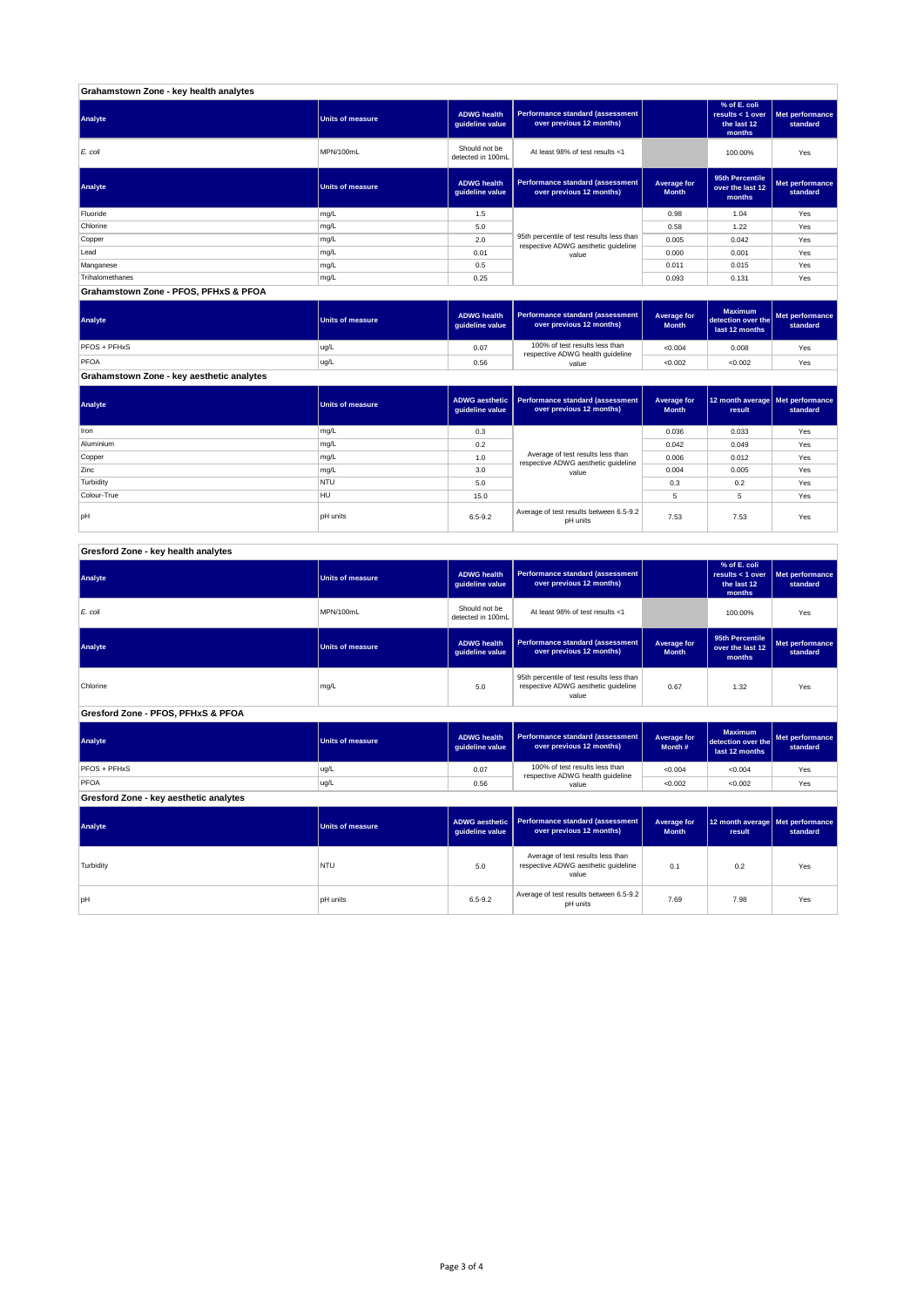| Grahamstown Zone - key health analytes |                         |                                       |                                                                                  |                             |                                                           |                             |  |  |  |
|----------------------------------------|-------------------------|---------------------------------------|----------------------------------------------------------------------------------|-----------------------------|-----------------------------------------------------------|-----------------------------|--|--|--|
| Analyte                                | <b>Units of measure</b> | <b>ADWG health</b><br>guideline value | Performance standard (assessment<br>over previous 12 months)                     |                             | % of E. coli<br>results < 1 over<br>the last 12<br>months | Met performance<br>standard |  |  |  |
| E. coli                                | MPN/100mL               | Should not be<br>detected in 100mL    | At least 98% of test results <1                                                  |                             | 100.00%                                                   | Yes                         |  |  |  |
| Analyte                                | <b>Units of measure</b> | <b>ADWG health</b><br>guideline value | Performance standard (assessment<br>over previous 12 months)                     | Average for<br><b>Month</b> | 95th Percentile<br>over the last 12<br>months             | Met performance<br>standard |  |  |  |
| Fluoride                               | mg/L                    | 1.5                                   |                                                                                  | 0.98                        | 1.04                                                      | Yes                         |  |  |  |
| Chlorine                               | mg/L                    | 5.0                                   |                                                                                  | 0.58                        | 1.22                                                      | Yes                         |  |  |  |
| Copper                                 | mg/L                    | 2.0                                   | 95th percentile of test results less than<br>respective ADWG aesthetic quideline | 0.005                       | 0.042                                                     | Yes                         |  |  |  |
| Lead                                   | mg/L                    | 0.01                                  | value                                                                            | 0.000                       | 0.001                                                     | Yes                         |  |  |  |
| Manganese                              | mg/L                    | 0.5                                   |                                                                                  | 0.011                       | 0.015                                                     | Yes                         |  |  |  |
| Trihalomethanes                        | mg/L                    | 0.25                                  |                                                                                  | 0.093                       | 0.131                                                     | Yes                         |  |  |  |
| Grahamstown Zone - PFOS, PFHxS & PFOA  |                         |                                       |                                                                                  |                             |                                                           |                             |  |  |  |

| Analyte                                   | Units of measure | <b>ADWG health</b><br>guideline value | Performance standard (assessment<br>over previous 12 months) | <b>Average for</b><br><b>Month</b> | <b>Maximum</b><br>detection over the<br>last 12 months | Met performance<br>standard |
|-------------------------------------------|------------------|---------------------------------------|--------------------------------------------------------------|------------------------------------|--------------------------------------------------------|-----------------------------|
| PFOS + PFHxS                              | ug/L             | 0.07                                  | 100% of test results less than                               | < 0.004                            | 0.008                                                  | Yes                         |
| PFOA                                      | ug/L             | 0.56                                  | respective ADWG health guideline<br>value                    | < 0.002                            | < 0.002                                                | Yes                         |
| Grahamstown Zone - key aesthetic analytes |                  |                                       |                                                              |                                    |                                                        |                             |

| Analyte     | <b>Units of measure</b> | quideline value | ADWG aesthetic   Performance standard (assessment<br>over previous 12 months) | Average for<br><b>Month</b> | 12 month average   Met performance<br>result | standard |
|-------------|-------------------------|-----------------|-------------------------------------------------------------------------------|-----------------------------|----------------------------------------------|----------|
| Iron        | mg/L                    | 0.3             |                                                                               | 0.036                       | 0.033                                        | Yes      |
| Aluminium   | mg/L                    | 0.2             |                                                                               | 0.042                       | 0.049                                        | Yes      |
| Copper      | mg/L                    | 1.0             | Average of test results less than<br>respective ADWG aesthetic quideline      | 0.006                       | 0.012                                        | Yes      |
| Zinc        | mg/L                    | 3.0             | value                                                                         | 0.004                       | 0.005                                        | Yes      |
| Turbidity   | <b>NTU</b>              | 5.0             |                                                                               | 0.3                         | 0.2                                          | Yes      |
| Colour-True | <b>HU</b>               | 15.0            |                                                                               |                             | 5                                            | Yes      |
| pH          | <b>pH</b> units         | $6.5 - 9.2$     | Average of test results between 6.5-9.2<br>pH units                           | 7.53                        | 7.53                                         | Yes      |

## **Gresford Zone - key health analytes**

| the last 12<br>standard<br>months                                                     |
|---------------------------------------------------------------------------------------|
| Yes<br>100.00%                                                                        |
| 95th Percentile<br>Met performance<br>over the last 12<br>standard<br>months          |
| Yes                                                                                   |
|                                                                                       |
| <b>Maximum</b><br>Met performance<br>detection over the<br>standard<br>last 12 months |
| Yes                                                                                   |
| Yes                                                                                   |
|                                                                                       |
| 12 month average   Met performance<br>standard                                        |
| 1.32<br>< 0.004<br>< 0.002<br>result                                                  |

| Analyte   | <b>Units of measure</b> |             | ADWG aesthetic   Performance standard (assessment  <br>over previous 12 months)<br>auideline value l |      | 12 month average Met performance<br>result | standard |
|-----------|-------------------------|-------------|------------------------------------------------------------------------------------------------------|------|--------------------------------------------|----------|
| Turbidity | <b>NTU</b>              | 5.0         | Average of test results less than<br>respective ADWG aesthetic quideline<br>value                    | 0.1  | 0.2                                        | Yes      |
| pH        | <b>pH</b> units         | $6.5 - 9.2$ | Average of test results between 6.5-9.2<br>pH units                                                  | 7.69 | 7.98                                       | Yes      |